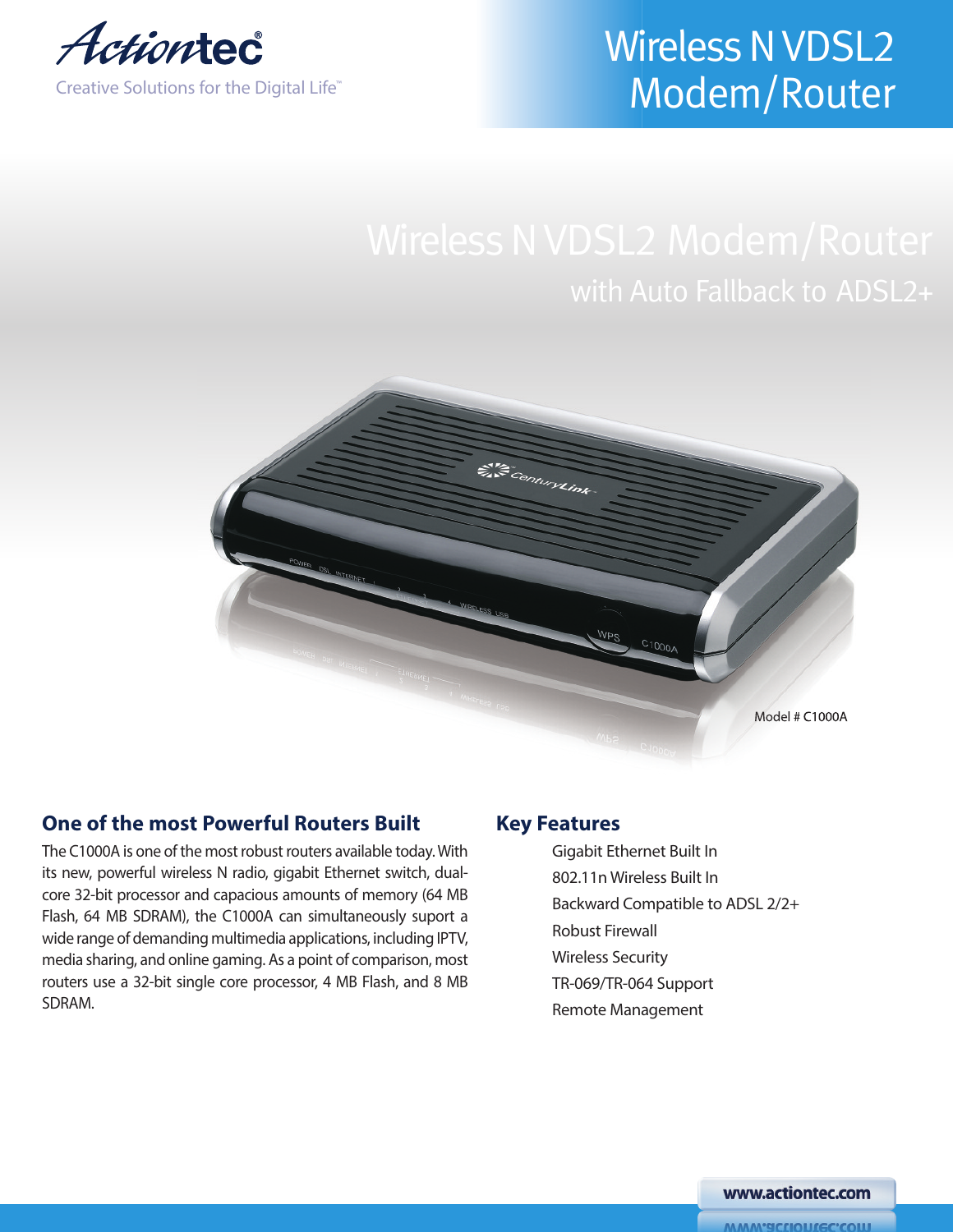

# **Wireless N VDSL2** Modem/Router

# with Auto Fallback to ADSL2+



# **One of the most Powerful Routers Built**

The C1000A is one of the most robust routers available today.With its new, powerful wireless N radio, gigabit Ethernet switch, dualcore 32-bit processor and capacious amounts of memory (64 MB Flash, 64 MB SDRAM), the C1000A can simultaneously suport a wide range of demanding multimedia applications, including IPTV, media sharing, and online gaming. As a point of comparison, most routers use a 32-bit single core processor, 4 MB Flash, and 8 MB SDRAM.

# **Key Features**

Gigabit Ethernet Built In 802.11n Wireless Built In Backward Compatible to ADSL 2/2+ Robust Firewall Wireless Security TR-069/TR-064 Support Remote Management

www.actiontec.com

**WWW.actiontec.com**